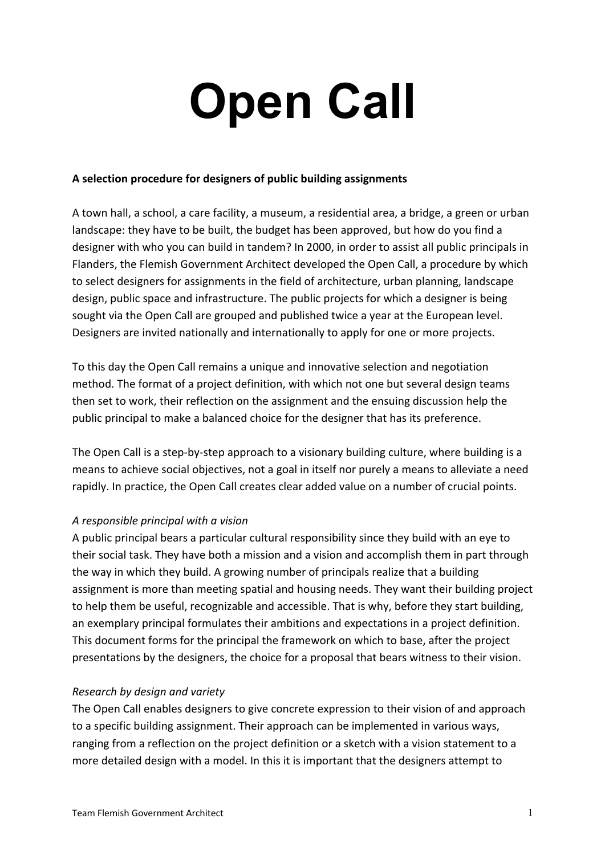# **Open Call**

## **A selection procedure for designers of public building assignments**

A town hall, a school, a care facility, a museum, a residential area, a bridge, a green or urban landscape: they have to be built, the budget has been approved, but how do you find a designer with who you can build in tandem? In 2000, in order to assist all public principals in Flanders, the Flemish Government Architect developed the Open Call, a procedure by which to select designers for assignments in the field of architecture, urban planning, landscape design, public space and infrastructure. The public projects for which a designer is being sought via the Open Call are grouped and published twice a year at the European level. Designers are invited nationally and internationally to apply for one or more projects.

To this day the Open Call remains a unique and innovative selection and negotiation method. The format of a project definition, with which not one but several design teams then set to work, their reflection on the assignment and the ensuing discussion help the public principal to make a balanced choice for the designer that has its preference.

The Open Call is a step-by-step approach to a visionary building culture, where building is a means to achieve social objectives, not a goal in itself nor purely a means to alleviate a need rapidly. In practice, the Open Call creates clear added value on a number of crucial points.

# *A responsible principal with a vision*

A public principal bears a particular cultural responsibility since they build with an eye to their social task. They have both a mission and a vision and accomplish them in part through the way in which they build. A growing number of principals realize that a building assignment is more than meeting spatial and housing needs. They want their building project to help them be useful, recognizable and accessible. That is why, before they start building, an exemplary principal formulates their ambitions and expectations in a project definition. This document forms for the principal the framework on which to base, after the project presentations by the designers, the choice for a proposal that bears witness to their vision.

# *Research by design and variety*

The Open Call enables designers to give concrete expression to their vision of and approach to a specific building assignment. Their approach can be implemented in various ways, ranging from a reflection on the project definition or a sketch with a vision statement to a more detailed design with a model. In this it is important that the designers attempt to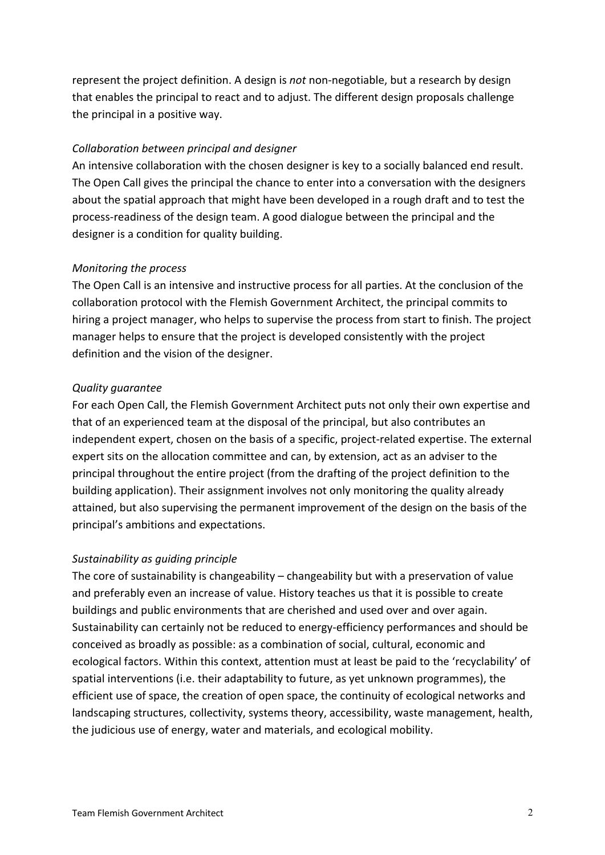represent the project definition. A design is *not* non-negotiable, but a research by design that enables the principal to react and to adjust. The different design proposals challenge the principal in a positive way.

# *Collaboration between principal and designer*

An intensive collaboration with the chosen designer is key to a socially balanced end result. The Open Call gives the principal the chance to enter into a conversation with the designers about the spatial approach that might have been developed in a rough draft and to test the process-readiness of the design team. A good dialogue between the principal and the designer is a condition for quality building.

## *Monitoring the process*

The Open Call is an intensive and instructive process for all parties. At the conclusion of the collaboration protocol with the Flemish Government Architect, the principal commits to hiring a project manager, who helps to supervise the process from start to finish. The project manager helps to ensure that the project is developed consistently with the project definition and the vision of the designer.

## *Quality guarantee*

For each Open Call, the Flemish Government Architect puts not only their own expertise and that of an experienced team at the disposal of the principal, but also contributes an independent expert, chosen on the basis of a specific, project-related expertise. The external expert sits on the allocation committee and can, by extension, act as an adviser to the principal throughout the entire project (from the drafting of the project definition to the building application). Their assignment involves not only monitoring the quality already attained, but also supervising the permanent improvement of the design on the basis of the principal's ambitions and expectations.

# *Sustainability as guiding principle*

The core of sustainability is changeability – changeability but with a preservation of value and preferably even an increase of value. History teaches us that it is possible to create buildings and public environments that are cherished and used over and over again. Sustainability can certainly not be reduced to energy-efficiency performances and should be conceived as broadly as possible: as a combination of social, cultural, economic and ecological factors. Within this context, attention must at least be paid to the 'recyclability' of spatial interventions (i.e. their adaptability to future, as yet unknown programmes), the efficient use of space, the creation of open space, the continuity of ecological networks and landscaping structures, collectivity, systems theory, accessibility, waste management, health, the judicious use of energy, water and materials, and ecological mobility.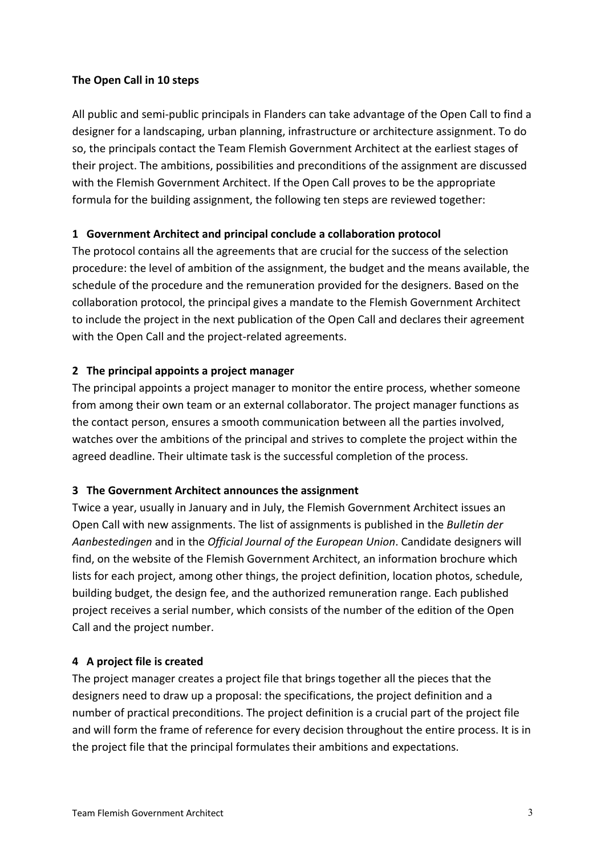## **The Open Call in 10 steps**

All public and semi-public principals in Flanders can take advantage of the Open Call to find a designer for a landscaping, urban planning, infrastructure or architecture assignment. To do so, the principals contact the Team Flemish Government Architect at the earliest stages of their project. The ambitions, possibilities and preconditions of the assignment are discussed with the Flemish Government Architect. If the Open Call proves to be the appropriate formula for the building assignment, the following ten steps are reviewed together:

# **1 Government Architect and principal conclude a collaboration protocol**

The protocol contains all the agreements that are crucial for the success of the selection procedure: the level of ambition of the assignment, the budget and the means available, the schedule of the procedure and the remuneration provided for the designers. Based on the collaboration protocol, the principal gives a mandate to the Flemish Government Architect to include the project in the next publication of the Open Call and declares their agreement with the Open Call and the project-related agreements.

## **2 The principal appoints a project manager**

The principal appoints a project manager to monitor the entire process, whether someone from among their own team or an external collaborator. The project manager functions as the contact person, ensures a smooth communication between all the parties involved, watches over the ambitions of the principal and strives to complete the project within the agreed deadline. Their ultimate task is the successful completion of the process.

#### **3 The Government Architect announces the assignment**

Twice a year, usually in January and in July, the Flemish Government Architect issues an Open Call with new assignments. The list of assignments is published in the *Bulletin der Aanbestedingen* and in the *Official Journal of the European Union*. Candidate designers will find, on the website of the Flemish Government Architect, an information brochure which lists for each project, among other things, the project definition, location photos, schedule, building budget, the design fee, and the authorized remuneration range. Each published project receives a serial number, which consists of the number of the edition of the Open Call and the project number.

#### **4 A project file is created**

The project manager creates a project file that brings together all the pieces that the designers need to draw up a proposal: the specifications, the project definition and a number of practical preconditions. The project definition is a crucial part of the project file and will form the frame of reference for every decision throughout the entire process. It is in the project file that the principal formulates their ambitions and expectations.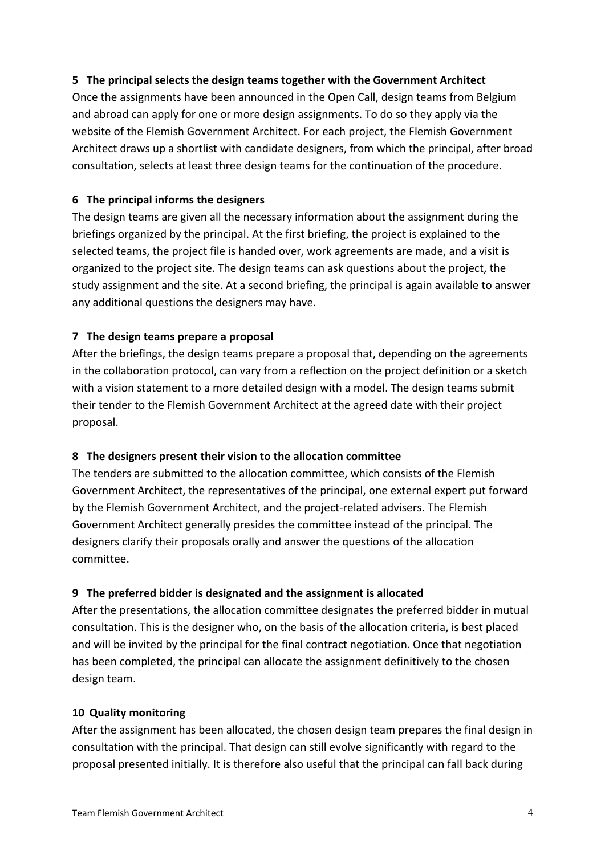## **5 The principal selects the design teams together with the Government Architect**

Once the assignments have been announced in the Open Call, design teams from Belgium and abroad can apply for one or more design assignments. To do so they apply via the website of the Flemish Government Architect. For each project, the Flemish Government Architect draws up a shortlist with candidate designers, from which the principal, after broad consultation, selects at least three design teams for the continuation of the procedure.

## **6 The principal informs the designers**

The design teams are given all the necessary information about the assignment during the briefings organized by the principal. At the first briefing, the project is explained to the selected teams, the project file is handed over, work agreements are made, and a visit is organized to the project site. The design teams can ask questions about the project, the study assignment and the site. At a second briefing, the principal is again available to answer any additional questions the designers may have.

## **7 The design teams prepare a proposal**

After the briefings, the design teams prepare a proposal that, depending on the agreements in the collaboration protocol, can vary from a reflection on the project definition or a sketch with a vision statement to a more detailed design with a model. The design teams submit their tender to the Flemish Government Architect at the agreed date with their project proposal.

# **8 The designers present their vision to the allocation committee**

The tenders are submitted to the allocation committee, which consists of the Flemish Government Architect, the representatives of the principal, one external expert put forward by the Flemish Government Architect, and the project-related advisers. The Flemish Government Architect generally presides the committee instead of the principal. The designers clarify their proposals orally and answer the questions of the allocation committee.

# **9 The preferred bidder is designated and the assignment is allocated**

After the presentations, the allocation committee designates the preferred bidder in mutual consultation. This is the designer who, on the basis of the allocation criteria, is best placed and will be invited by the principal for the final contract negotiation. Once that negotiation has been completed, the principal can allocate the assignment definitively to the chosen design team.

#### **10 Quality monitoring**

After the assignment has been allocated, the chosen design team prepares the final design in consultation with the principal. That design can still evolve significantly with regard to the proposal presented initially. It is therefore also useful that the principal can fall back during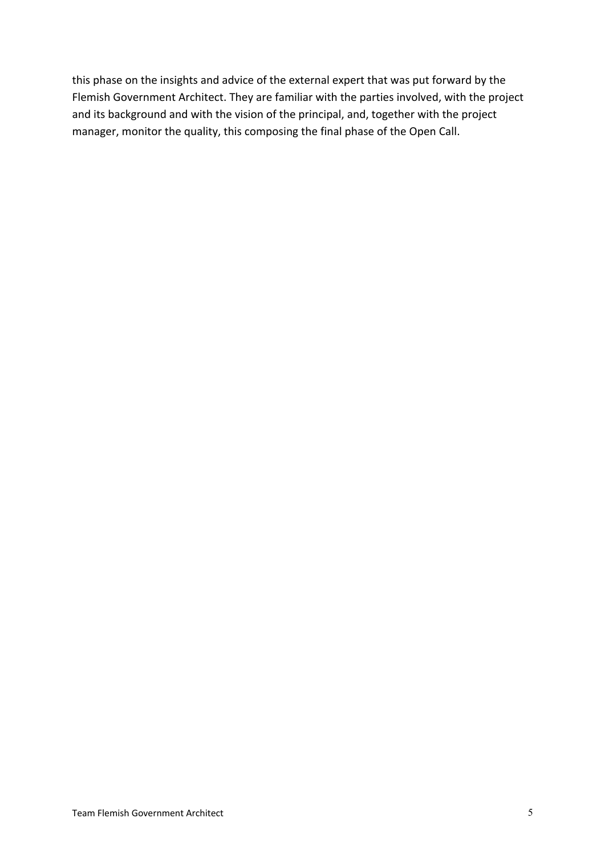this phase on the insights and advice of the external expert that was put forward by the Flemish Government Architect. They are familiar with the parties involved, with the project and its background and with the vision of the principal, and, together with the project manager, monitor the quality, this composing the final phase of the Open Call.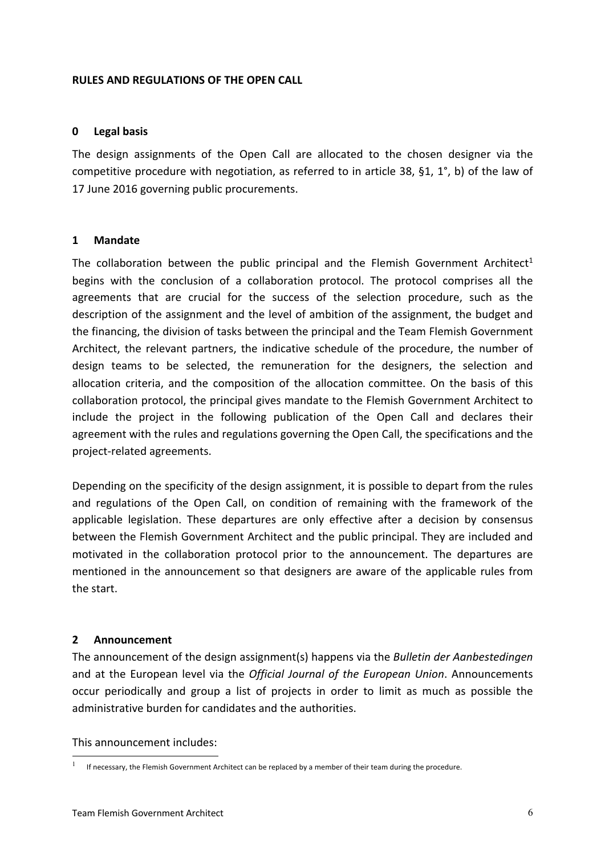#### **RULES AND REGULATIONS OF THE OPEN CALL**

#### **0 Legal basis**

The design assignments of the Open Call are allocated to the chosen designer via the competitive procedure with negotiation, as referred to in article 38, §1, 1°, b) of the law of 17 June 2016 governing public procurements.

## **1 Mandate**

The collaboration between the public principal and the Flemish Government Architect<sup>1</sup> begins with the conclusion of a collaboration protocol. The protocol comprises all the agreements that are crucial for the success of the selection procedure, such as the description of the assignment and the level of ambition of the assignment, the budget and the financing, the division of tasks between the principal and the Team Flemish Government Architect, the relevant partners, the indicative schedule of the procedure, the number of design teams to be selected, the remuneration for the designers, the selection and allocation criteria, and the composition of the allocation committee. On the basis of this collaboration protocol, the principal gives mandate to the Flemish Government Architect to include the project in the following publication of the Open Call and declares their agreement with the rules and regulations governing the Open Call, the specifications and the project-related agreements.

Depending on the specificity of the design assignment, it is possible to depart from the rules and regulations of the Open Call, on condition of remaining with the framework of the applicable legislation. These departures are only effective after a decision by consensus between the Flemish Government Architect and the public principal. They are included and motivated in the collaboration protocol prior to the announcement. The departures are mentioned in the announcement so that designers are aware of the applicable rules from the start.

# **2 Announcement**

The announcement of the design assignment(s) happens via the *Bulletin der Aanbestedingen* and at the European level via the *Official Journal of the European Union*. Announcements occur periodically and group a list of projects in order to limit as much as possible the administrative burden for candidates and the authorities.

This announcement includes:

If necessary, the Flemish Government Architect can be replaced by a member of their team during the procedure.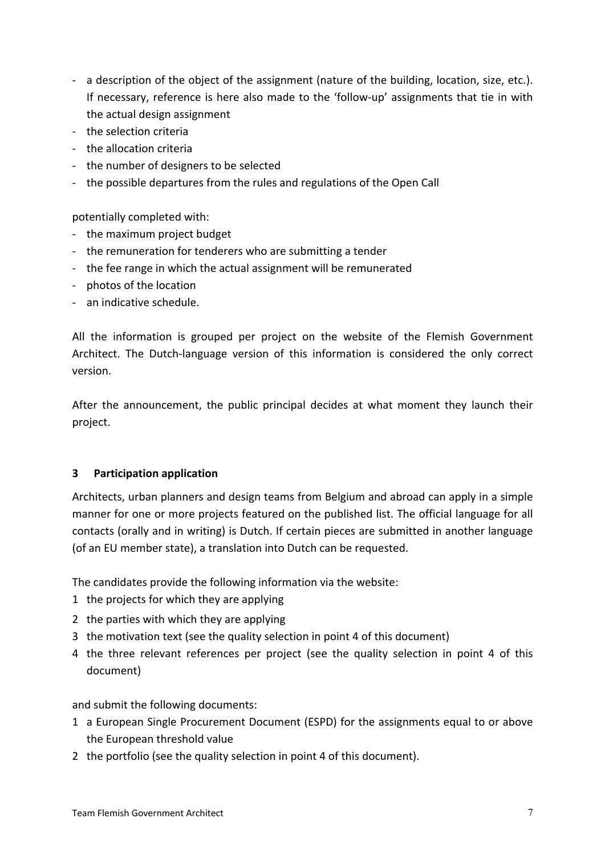- a description of the object of the assignment (nature of the building, location, size, etc.). If necessary, reference is here also made to the 'follow-up' assignments that tie in with the actual design assignment
- the selection criteria
- the allocation criteria
- the number of designers to be selected
- the possible departures from the rules and regulations of the Open Call

potentially completed with:

- the maximum project budget
- the remuneration for tenderers who are submitting a tender
- the fee range in which the actual assignment will be remunerated
- photos of the location
- an indicative schedule.

All the information is grouped per project on the website of the Flemish Government Architect. The Dutch-language version of this information is considered the only correct version.

After the announcement, the public principal decides at what moment they launch their project.

#### **3 Participation application**

Architects, urban planners and design teams from Belgium and abroad can apply in a simple manner for one or more projects featured on the published list. The official language for all contacts (orally and in writing) is Dutch. If certain pieces are submitted in another language (of an EU member state), a translation into Dutch can be requested.

The candidates provide the following information via the website:

- 1 the projects for which they are applying
- 2 the parties with which they are applying
- 3 the motivation text (see the quality selection in point 4 of this document)
- 4 the three relevant references per project (see the quality selection in point 4 of this document)

and submit the following documents:

- 1 a European Single Procurement Document (ESPD) for the assignments equal to or above the European threshold value
- 2 the portfolio (see the quality selection in point 4 of this document).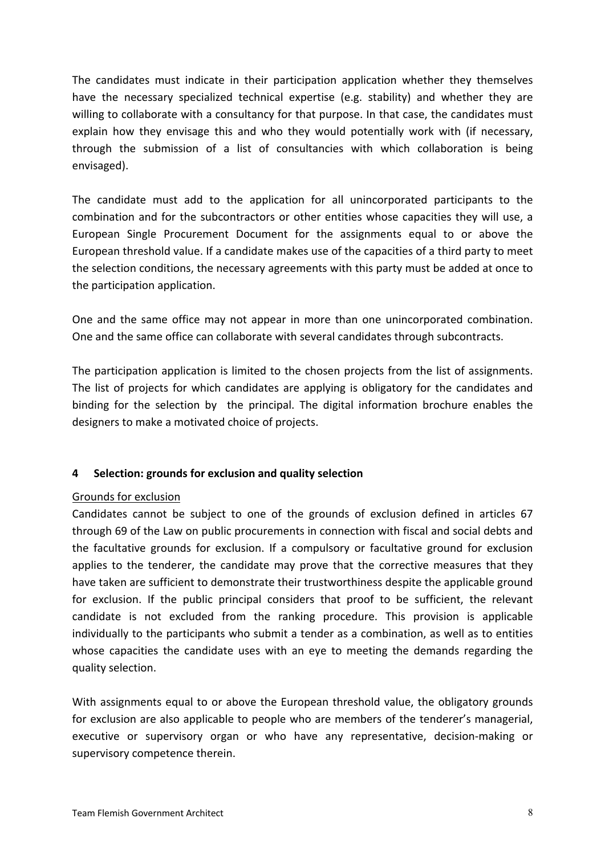The candidates must indicate in their participation application whether they themselves have the necessary specialized technical expertise (e.g. stability) and whether they are willing to collaborate with a consultancy for that purpose. In that case, the candidates must explain how they envisage this and who they would potentially work with (if necessary, through the submission of a list of consultancies with which collaboration is being envisaged).

The candidate must add to the application for all unincorporated participants to the combination and for the subcontractors or other entities whose capacities they will use, a European Single Procurement Document for the assignments equal to or above the European threshold value. If a candidate makes use of the capacities of a third party to meet the selection conditions, the necessary agreements with this party must be added at once to the participation application.

One and the same office may not appear in more than one unincorporated combination. One and the same office can collaborate with several candidates through subcontracts.

The participation application is limited to the chosen projects from the list of assignments. The list of projects for which candidates are applying is obligatory for the candidates and binding for the selection by the principal. The digital information brochure enables the designers to make a motivated choice of projects.

# **4 Selection: grounds for exclusion and quality selection**

#### Grounds for exclusion

Candidates cannot be subject to one of the grounds of exclusion defined in articles 67 through 69 of the Law on public procurements in connection with fiscal and social debts and the facultative grounds for exclusion. If a compulsory or facultative ground for exclusion applies to the tenderer, the candidate may prove that the corrective measures that they have taken are sufficient to demonstrate their trustworthiness despite the applicable ground for exclusion. If the public principal considers that proof to be sufficient, the relevant candidate is not excluded from the ranking procedure. This provision is applicable individually to the participants who submit a tender as a combination, as well as to entities whose capacities the candidate uses with an eye to meeting the demands regarding the quality selection.

With assignments equal to or above the European threshold value, the obligatory grounds for exclusion are also applicable to people who are members of the tenderer's managerial, executive or supervisory organ or who have any representative, decision-making or supervisory competence therein.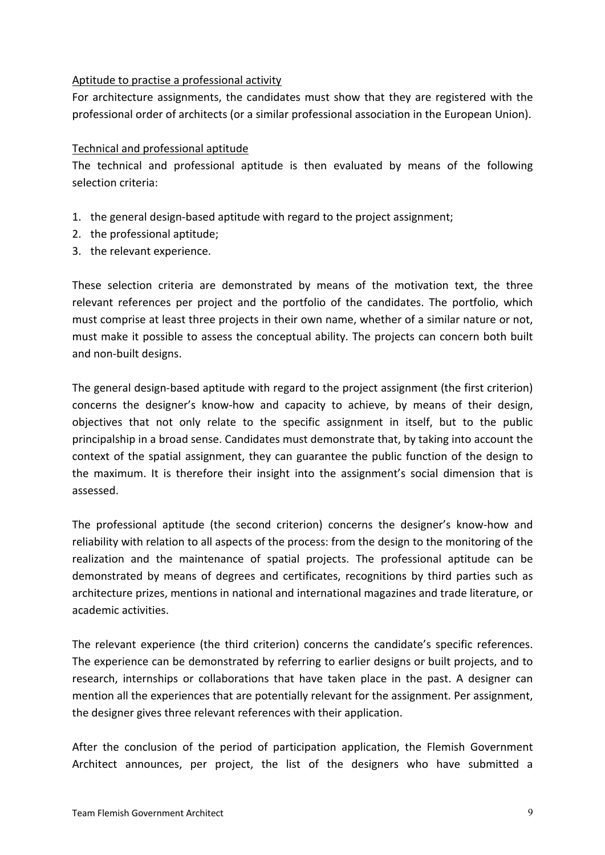#### Aptitude to practise a professional activity

For architecture assignments, the candidates must show that they are registered with the professional order of architects (or a similar professional association in the European Union).

## Technical and professional aptitude

The technical and professional aptitude is then evaluated by means of the following selection criteria:

- 1. the general design-based aptitude with regard to the project assignment;
- 2. the professional aptitude;
- 3. the relevant experience.

These selection criteria are demonstrated by means of the motivation text, the three relevant references per project and the portfolio of the candidates. The portfolio, which must comprise at least three projects in their own name, whether of a similar nature or not, must make it possible to assess the conceptual ability. The projects can concern both built and non-built designs.

The general design-based aptitude with regard to the project assignment (the first criterion) concerns the designer's know-how and capacity to achieve, by means of their design, objectives that not only relate to the specific assignment in itself, but to the public principalship in a broad sense. Candidates must demonstrate that, by taking into account the context of the spatial assignment, they can guarantee the public function of the design to the maximum. It is therefore their insight into the assignment's social dimension that is assessed.

The professional aptitude (the second criterion) concerns the designer's know-how and reliability with relation to all aspects of the process: from the design to the monitoring of the realization and the maintenance of spatial projects. The professional aptitude can be demonstrated by means of degrees and certificates, recognitions by third parties such as architecture prizes, mentions in national and international magazines and trade literature, or academic activities.

The relevant experience (the third criterion) concerns the candidate's specific references. The experience can be demonstrated by referring to earlier designs or built projects, and to research, internships or collaborations that have taken place in the past. A designer can mention all the experiences that are potentially relevant for the assignment. Per assignment, the designer gives three relevant references with their application.

After the conclusion of the period of participation application, the Flemish Government Architect announces, per project, the list of the designers who have submitted a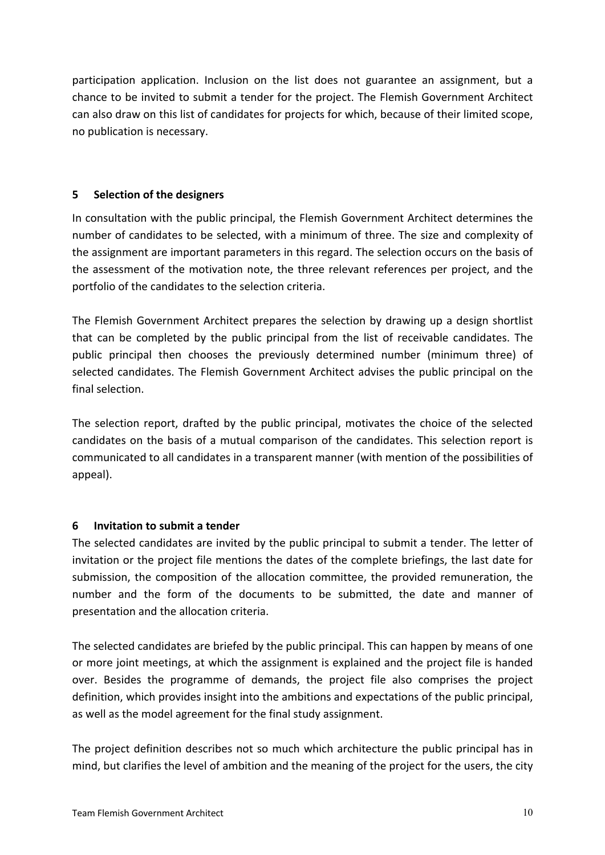participation application. Inclusion on the list does not guarantee an assignment, but a chance to be invited to submit a tender for the project. The Flemish Government Architect can also draw on this list of candidates for projects for which, because of their limited scope, no publication is necessary.

## **5 Selection of the designers**

In consultation with the public principal, the Flemish Government Architect determines the number of candidates to be selected, with a minimum of three. The size and complexity of the assignment are important parameters in this regard. The selection occurs on the basis of the assessment of the motivation note, the three relevant references per project, and the portfolio of the candidates to the selection criteria.

The Flemish Government Architect prepares the selection by drawing up a design shortlist that can be completed by the public principal from the list of receivable candidates. The public principal then chooses the previously determined number (minimum three) of selected candidates. The Flemish Government Architect advises the public principal on the final selection.

The selection report, drafted by the public principal, motivates the choice of the selected candidates on the basis of a mutual comparison of the candidates. This selection report is communicated to all candidates in a transparent manner (with mention of the possibilities of appeal).

# **6 Invitation to submit a tender**

The selected candidates are invited by the public principal to submit a tender. The letter of invitation or the project file mentions the dates of the complete briefings, the last date for submission, the composition of the allocation committee, the provided remuneration, the number and the form of the documents to be submitted, the date and manner of presentation and the allocation criteria.

The selected candidates are briefed by the public principal. This can happen by means of one or more joint meetings, at which the assignment is explained and the project file is handed over. Besides the programme of demands, the project file also comprises the project definition, which provides insight into the ambitions and expectations of the public principal, as well as the model agreement for the final study assignment.

The project definition describes not so much which architecture the public principal has in mind, but clarifies the level of ambition and the meaning of the project for the users, the city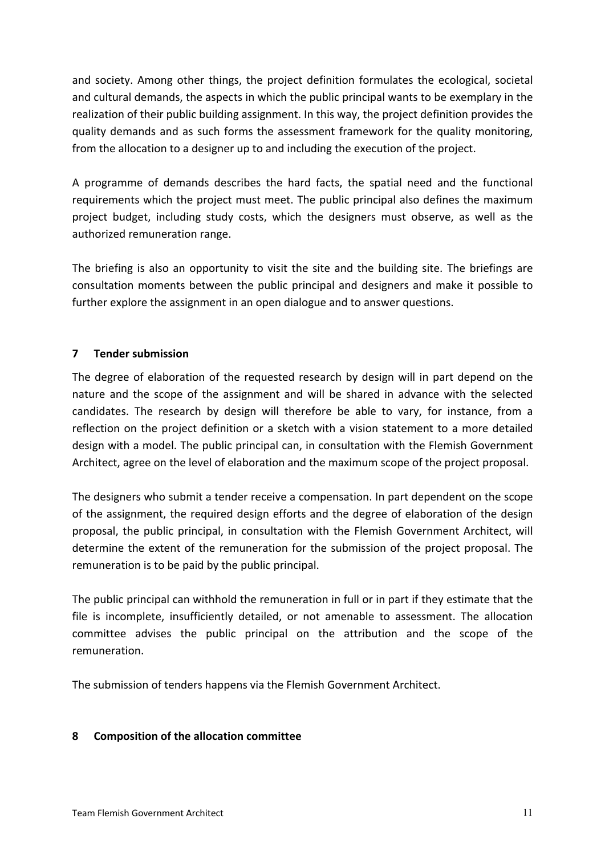and society. Among other things, the project definition formulates the ecological, societal and cultural demands, the aspects in which the public principal wants to be exemplary in the realization of their public building assignment. In this way, the project definition provides the quality demands and as such forms the assessment framework for the quality monitoring, from the allocation to a designer up to and including the execution of the project.

A programme of demands describes the hard facts, the spatial need and the functional requirements which the project must meet. The public principal also defines the maximum project budget, including study costs, which the designers must observe, as well as the authorized remuneration range.

The briefing is also an opportunity to visit the site and the building site. The briefings are consultation moments between the public principal and designers and make it possible to further explore the assignment in an open dialogue and to answer questions.

# **7 Tender submission**

The degree of elaboration of the requested research by design will in part depend on the nature and the scope of the assignment and will be shared in advance with the selected candidates. The research by design will therefore be able to vary, for instance, from a reflection on the project definition or a sketch with a vision statement to a more detailed design with a model. The public principal can, in consultation with the Flemish Government Architect, agree on the level of elaboration and the maximum scope of the project proposal.

The designers who submit a tender receive a compensation. In part dependent on the scope of the assignment, the required design efforts and the degree of elaboration of the design proposal, the public principal, in consultation with the Flemish Government Architect, will determine the extent of the remuneration for the submission of the project proposal. The remuneration is to be paid by the public principal.

The public principal can withhold the remuneration in full or in part if they estimate that the file is incomplete, insufficiently detailed, or not amenable to assessment. The allocation committee advises the public principal on the attribution and the scope of the remuneration.

The submission of tenders happens via the Flemish Government Architect.

# **8 Composition of the allocation committee**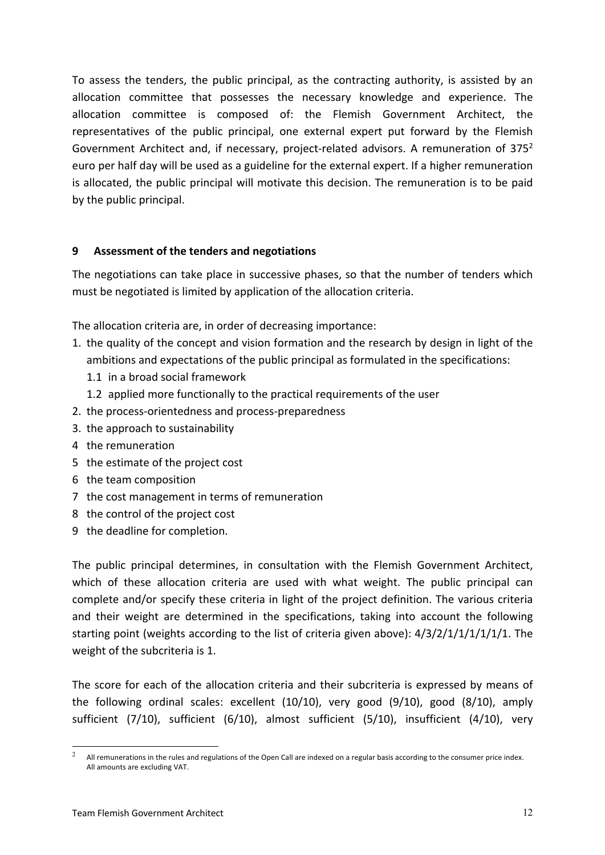To assess the tenders, the public principal, as the contracting authority, is assisted by an allocation committee that possesses the necessary knowledge and experience. The allocation committee is composed of: the Flemish Government Architect, the representatives of the public principal, one external expert put forward by the Flemish Government Architect and, if necessary, project-related advisors. A remuneration of  $375<sup>2</sup>$ euro per half day will be used as a guideline for the external expert. If a higher remuneration is allocated, the public principal will motivate this decision. The remuneration is to be paid by the public principal.

## **9 Assessment of the tenders and negotiations**

The negotiations can take place in successive phases, so that the number of tenders which must be negotiated is limited by application of the allocation criteria.

The allocation criteria are, in order of decreasing importance:

- 1. the quality of the concept and vision formation and the research by design in light of the ambitions and expectations of the public principal as formulated in the specifications:
	- 1.1 in a broad social framework
	- 1.2 applied more functionally to the practical requirements of the user
- 2. the process-orientedness and process-preparedness
- 3. the approach to sustainability
- 4 the remuneration
- 5 the estimate of the project cost
- 6 the team composition
- 7 the cost management in terms of remuneration
- 8 the control of the project cost
- 9 the deadline for completion.

The public principal determines, in consultation with the Flemish Government Architect, which of these allocation criteria are used with what weight. The public principal can complete and/or specify these criteria in light of the project definition. The various criteria and their weight are determined in the specifications, taking into account the following starting point (weights according to the list of criteria given above): 4/3/2/1/1/1/1/1/1. The weight of the subcriteria is 1.

The score for each of the allocation criteria and their subcriteria is expressed by means of the following ordinal scales: excellent (10/10), very good (9/10), good (8/10), amply sufficient (7/10), sufficient (6/10), almost sufficient (5/10), insufficient (4/10), very

<sup>&</sup>lt;sup>2</sup> All remunerations in the rules and regulations of the Open Call are indexed on a regular basis according to the consumer price index. All amounts are excluding VAT.